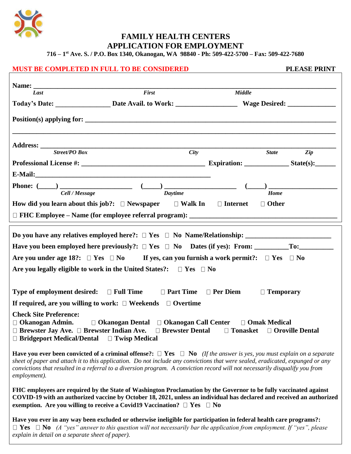

 **FAMILY HEALTH CENTERS APPLICATION FOR EMPLOYMENT**

**716 – 1 st Ave. S. / P.O. Box 1340, Okanogan, WA 98840 - Ph: 509-422-5700 – Fax: 509-422-7680**

#### **MUST BE COMPLETED IN FULL TO BE CONSIDERED PLEASE PRINT**

| Last                                                                                                                                                                                                                                                                                                                                                                                                              | First          | <b>Middle</b> |                                |
|-------------------------------------------------------------------------------------------------------------------------------------------------------------------------------------------------------------------------------------------------------------------------------------------------------------------------------------------------------------------------------------------------------------------|----------------|---------------|--------------------------------|
|                                                                                                                                                                                                                                                                                                                                                                                                                   |                |               |                                |
| $Position(s)$ applying for: $\qquad \qquad$                                                                                                                                                                                                                                                                                                                                                                       |                |               |                                |
| <b>Street/PO Box</b>                                                                                                                                                                                                                                                                                                                                                                                              | <b>City</b>    |               | <b>State</b><br>$\mathbf{Zip}$ |
|                                                                                                                                                                                                                                                                                                                                                                                                                   |                |               |                                |
|                                                                                                                                                                                                                                                                                                                                                                                                                   |                |               |                                |
| Cell / Message                                                                                                                                                                                                                                                                                                                                                                                                    | <b>Daytime</b> |               | Home                           |
| How did you learn about this job?: $\square$ Newspaper $\square$ Walk In $\square$ Internet                                                                                                                                                                                                                                                                                                                       |                |               | $\Box$ Other                   |
| Are you under age 18?: $\Box$ Yes $\Box$ No If yes, can you furnish a work permit?: $\Box$ Yes $\Box$ No<br>Are you legally eligible to work in the United States?: $\Box$ Yes $\Box$ No                                                                                                                                                                                                                          |                |               |                                |
| <b>Type of employment desired:</b> $\Box$ Full Time $\Box$ Part Time $\Box$ Per Diem                                                                                                                                                                                                                                                                                                                              |                |               | $\Box$ Temporary               |
| If required, are you willing to work: $\Box$ Weekends $\Box$ Overtime                                                                                                                                                                                                                                                                                                                                             |                |               |                                |
| <b>Check Site Preference:</b><br>□ Okanogan Admin. □ Okanogan Dental □ Okanogan Call Center □ Omak Medical<br>$\Box$ Brewster Jay Ave. $\Box$ Brewster Indian Ave. $\Box$ Brewster Dental $\Box$ Tonasket $\Box$ Oroville Dental<br>$\Box$ Bridgeport Medical/Dental $\Box$ Twisp Medical                                                                                                                         |                |               |                                |
| Have you ever been convicted of a criminal offense?: $\Box$ Yes $\Box$ No (If the answer is yes, you must explain on a separate<br>sheet of paper and attach it to this application. Do not include any convictions that were sealed, eradicated, expunged or any<br>convictions that resulted in a referral to a diversion program. A conviction record will not necessarily disqualify you from<br>employment). |                |               |                                |
| FHC employees are required by the State of Washington Proclamation by the Governor to be fully vaccinated against<br>COVID-19 with an authorized vaccine by October 18, 2021, unless an individual has declared and received an authorized<br>exemption. Are you willing to receive a Covid19 Vaccination? $\Box$ Yes $\Box$ No                                                                                   |                |               |                                |
| Have you ever in any way been excluded or otherwise ineligible for participation in federal health care programs?:<br>$\Box$ Yes $\Box$ No (A "yes" answer to this question will not necessarily bar the application from employment. If "yes", please<br>explain in detail on a separate sheet of paper).                                                                                                        |                |               |                                |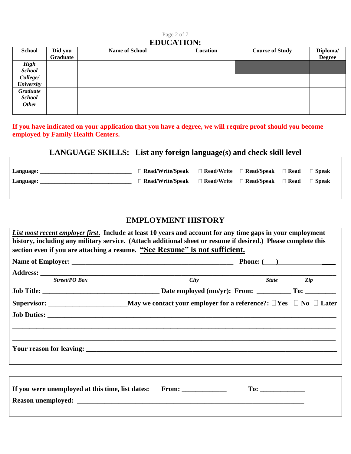#### Page 2 of 7 **EDUCATION:**

| <b>School</b>     | Did you<br>Graduate | <b>Name of School</b> | Location | <b>Course of Study</b> | Diploma/<br><b>Degree</b> |  |  |
|-------------------|---------------------|-----------------------|----------|------------------------|---------------------------|--|--|
| <b>High</b>       |                     |                       |          |                        |                           |  |  |
| <b>School</b>     |                     |                       |          |                        |                           |  |  |
| College/          |                     |                       |          |                        |                           |  |  |
| <b>University</b> |                     |                       |          |                        |                           |  |  |
| Graduate          |                     |                       |          |                        |                           |  |  |
| <b>School</b>     |                     |                       |          |                        |                           |  |  |
| <b>Other</b>      |                     |                       |          |                        |                           |  |  |
|                   |                     |                       |          |                        |                           |  |  |

**If you have indicated on your application that you have a degree, we will require proof should you become employed by Family Health Centers.**

## **LANGUAGE SKILLS: List any foreign language(s) and check skill level**

| Language: | $\Box$ Read/Write/Speak $\Box$ Read/Write $\Box$ Read/Speak $\Box$ Read              |  | □ Speak |
|-----------|--------------------------------------------------------------------------------------|--|---------|
| Language: | $\Box$ Read/Write/Speak $\Box$ Read/Write $\Box$ Read/Speak $\Box$ Read $\Box$ Speak |  |         |
|           |                                                                                      |  |         |

#### **EMPLOYMENT HISTORY**

| <b>Street/PO Box</b> | City |  | State Zip |  |  |
|----------------------|------|--|-----------|--|--|
|                      |      |  |           |  |  |
|                      |      |  |           |  |  |
|                      |      |  |           |  |  |
|                      |      |  |           |  |  |
|                      |      |  |           |  |  |
|                      |      |  |           |  |  |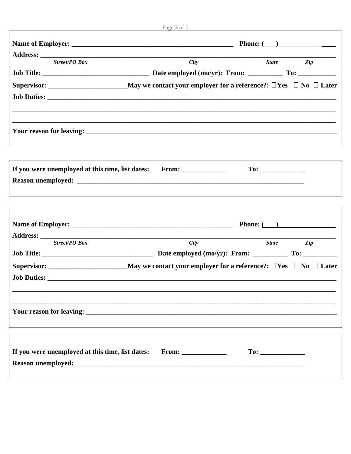|                                                                       | Phone: $\qquad \qquad$ |              |                |  |  |  |
|-----------------------------------------------------------------------|------------------------|--------------|----------------|--|--|--|
|                                                                       |                        |              |                |  |  |  |
| <b>Street/PO Box</b>                                                  | City                   | <b>State</b> | $\overline{z}$ |  |  |  |
|                                                                       |                        |              |                |  |  |  |
|                                                                       |                        |              |                |  |  |  |
|                                                                       |                        |              |                |  |  |  |
|                                                                       |                        |              |                |  |  |  |
|                                                                       |                        |              |                |  |  |  |
|                                                                       |                        |              |                |  |  |  |
|                                                                       |                        |              |                |  |  |  |
| If you were unemployed at this time, list dates: From: ______________ |                        |              |                |  |  |  |
|                                                                       |                        |              |                |  |  |  |
|                                                                       |                        |              |                |  |  |  |
|                                                                       |                        |              |                |  |  |  |

| <b>Phone:</b> $\overline{ }$                     |            |  |  |           |
|--------------------------------------------------|------------|--|--|-----------|
| <b>Street/PO Box</b>                             | City       |  |  | State Zip |
|                                                  |            |  |  |           |
|                                                  |            |  |  |           |
|                                                  |            |  |  |           |
|                                                  |            |  |  |           |
|                                                  |            |  |  |           |
|                                                  |            |  |  |           |
| If you were unemployed at this time, list dates: | $From: \_$ |  |  |           |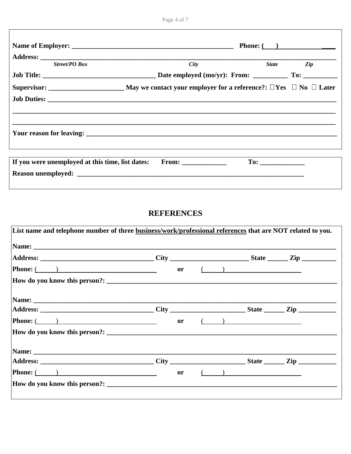|                                                  | <b>Phone:</b> $\qquad \qquad$ |  |           |  |  |  |
|--------------------------------------------------|-------------------------------|--|-----------|--|--|--|
|                                                  |                               |  |           |  |  |  |
| <b>Street/PO Box</b>                             | City                          |  | State Zip |  |  |  |
|                                                  |                               |  |           |  |  |  |
|                                                  |                               |  |           |  |  |  |
|                                                  |                               |  |           |  |  |  |
|                                                  |                               |  |           |  |  |  |
|                                                  |                               |  |           |  |  |  |
|                                                  |                               |  |           |  |  |  |
| If you were unemployed at this time, list dates: |                               |  |           |  |  |  |
|                                                  |                               |  |           |  |  |  |

#### **REFERENCES**

| <b>Phone:</b> $\overline{(\hspace{1cm})}$                                                                                                                                                                                                                                                                                                                                                                                       | or            |  | $\left(\begin{array}{cc} 1 & 1 \end{array}\right)$                                                      |  |
|---------------------------------------------------------------------------------------------------------------------------------------------------------------------------------------------------------------------------------------------------------------------------------------------------------------------------------------------------------------------------------------------------------------------------------|---------------|--|---------------------------------------------------------------------------------------------------------|--|
|                                                                                                                                                                                                                                                                                                                                                                                                                                 |               |  |                                                                                                         |  |
| Name: Name and the second contract of the second contract of the second contract of the second contract of the second contract of the second contract of the second contract of the second contract of the second contract of                                                                                                                                                                                                   |               |  |                                                                                                         |  |
|                                                                                                                                                                                                                                                                                                                                                                                                                                 |               |  |                                                                                                         |  |
| <b>Phone:</b> $\overline{(\ }$                                                                                                                                                                                                                                                                                                                                                                                                  | <sub>or</sub> |  | $\left(\begin{array}{c} \begin{array}{c} \begin{array}{c} \end{array}\\ \end{array}\right) \end{array}$ |  |
|                                                                                                                                                                                                                                                                                                                                                                                                                                 |               |  |                                                                                                         |  |
|                                                                                                                                                                                                                                                                                                                                                                                                                                 |               |  |                                                                                                         |  |
|                                                                                                                                                                                                                                                                                                                                                                                                                                 |               |  |                                                                                                         |  |
| <b>Phone:</b> $\overline{ }$ $\overline{ }$ $\overline{ }$ $\overline{ }$ $\overline{ }$ $\overline{ }$ $\overline{ }$ $\overline{ }$ $\overline{ }$ $\overline{ }$ $\overline{ }$ $\overline{ }$ $\overline{ }$ $\overline{ }$ $\overline{ }$ $\overline{ }$ $\overline{ }$ $\overline{ }$ $\overline{ }$ $\overline{ }$ $\overline{ }$ $\overline{ }$ $\overline{ }$ $\overline{ }$ $\overline{ }$ $\overline{ }$ $\overline$ | <sub>or</sub> |  | $\left(\begin{array}{c} \begin{array}{c} \begin{array}{c} \end{array}\\ \end{array}\right) \end{array}$ |  |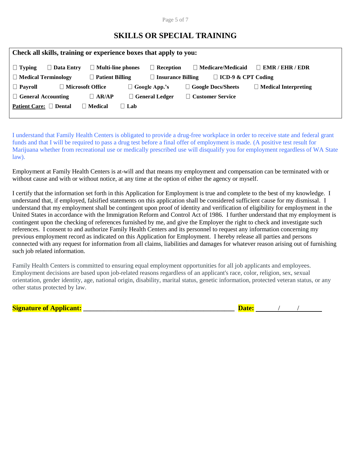Page 5 of 7

### **SKILLS OR SPECIAL TRAINING**

| Check all skills, training or experience boxes that apply to you: |                    |                          |            |                       |  |                           |                             |
|-------------------------------------------------------------------|--------------------|--------------------------|------------|-----------------------|--|---------------------------|-----------------------------|
| $\Box$ Typing                                                     | $\Box$ Data Entry  | $\Box$ Multi-line phones |            | $\Box$ Reception      |  | $\Box$ Medicare/Medicaid  | $\Box$ EMR / EHR / EDR      |
| $\Box$ Medical Terminology                                        |                    | $\Box$ Patient Billing   |            | Insurance Billing     |  | $\Box$ ICD-9 & CPT Coding |                             |
| $\Box$ Payroll                                                    | ■ Microsoft Office |                          |            | $\Box$ Google App.'s  |  | Google Docs/Sheets        | $\Box$ Medical Interpreting |
| $\Box$ General Accounting                                         |                    | $\Box$ AR/AP             |            | $\Box$ General Ledger |  | <b>Customer Service</b>   |                             |
| Patient Care: □ Dental                                            |                    | $\Box$ Medical           | $\Box$ Lab |                       |  |                           |                             |

I understand that Family Health Centers is obligated to provide a drug-free workplace in order to receive state and federal grant funds and that I will be required to pass a drug test before a final offer of employment is made. (A positive test result for Marijuana whether from recreational use or medically prescribed use will disqualify you for employment regardless of WA State law).

Employment at Family Health Centers is at-will and that means my employment and compensation can be terminated with or without cause and with or without notice, at any time at the option of either the agency or myself.

I certify that the information set forth in this Application for Employment is true and complete to the best of my knowledge. I understand that, if employed, falsified statements on this application shall be considered sufficient cause for my dismissal. I understand that my employment shall be contingent upon proof of identity and verification of eligibility for employment in the United States in accordance with the Immigration Reform and Control Act of 1986. I further understand that my employment is contingent upon the checking of references furnished by me, and give the Employer the right to check and investigate such references. I consent to and authorize Family Health Centers and its personnel to request any information concerning my previous employment record as indicated on this Application for Employment. I hereby release all parties and persons connected with any request for information from all claims, liabilities and damages for whatever reason arising out of furnishing such job related information.

Family Health Centers is committed to ensuring equal employment opportunities for all job applicants and employees. Employment decisions are based upon job-related reasons regardless of an applicant's race, color, religion, sex, sexual orientation, gender identity, age, national origin, disability, marital status, genetic information, protected veteran status, or any other status protected by law.

**Signature of Applicant: \_\_\_\_\_\_\_\_\_\_\_\_\_\_\_\_\_\_\_\_\_\_\_\_\_\_\_\_\_\_\_\_\_\_\_\_\_\_\_\_\_\_\_\_ Date:** / /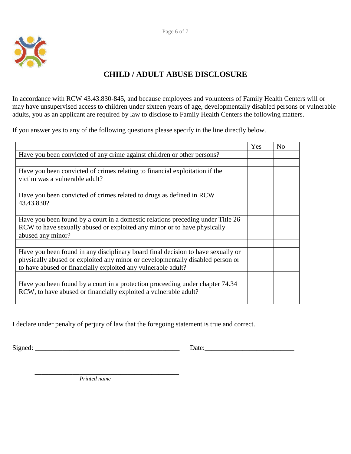

## **CHILD / ADULT ABUSE DISCLOSURE**

In accordance with RCW 43.43.830-845, and because employees and volunteers of Family Health Centers will or may have unsupervised access to children under sixteen years of age, developmentally disabled persons or vulnerable adults, you as an applicant are required by law to disclose to Family Health Centers the following matters.

If you answer yes to any of the following questions please specify in the line directly below.

|                                                                                  | Yes | N <sub>0</sub> |
|----------------------------------------------------------------------------------|-----|----------------|
| Have you been convicted of any crime against children or other persons?          |     |                |
|                                                                                  |     |                |
| Have you been convicted of crimes relating to financial exploitation if the      |     |                |
| victim was a vulnerable adult?                                                   |     |                |
|                                                                                  |     |                |
| Have you been convicted of crimes related to drugs as defined in RCW             |     |                |
| 43.43.830?                                                                       |     |                |
|                                                                                  |     |                |
| Have you been found by a court in a domestic relations preceding under Title 26  |     |                |
| RCW to have sexually abused or exploited any minor or to have physically         |     |                |
| abused any minor?                                                                |     |                |
|                                                                                  |     |                |
| Have you been found in any disciplinary board final decision to have sexually or |     |                |
| physically abused or exploited any minor or developmentally disabled person or   |     |                |
| to have abused or financially exploited any vulnerable adult?                    |     |                |
|                                                                                  |     |                |
| Have you been found by a court in a protection proceeding under chapter 74.34    |     |                |
| RCW, to have abused or financially exploited a vulnerable adult?                 |     |                |
|                                                                                  |     |                |

I declare under penalty of perjury of law that the foregoing statement is true and correct.

Signed: \_\_\_\_\_\_\_\_\_\_\_\_\_\_\_\_\_\_\_\_\_\_\_\_\_\_\_\_\_\_\_\_\_\_\_\_\_\_\_\_\_\_ Date:\_\_\_\_\_\_\_\_\_\_\_\_\_\_\_\_\_\_\_\_\_\_\_\_\_\_

 \_\_\_\_\_\_\_\_\_\_\_\_\_\_\_\_\_\_\_\_\_\_\_\_\_\_\_\_\_\_\_\_\_\_\_\_\_\_\_\_\_\_  *Printed name*